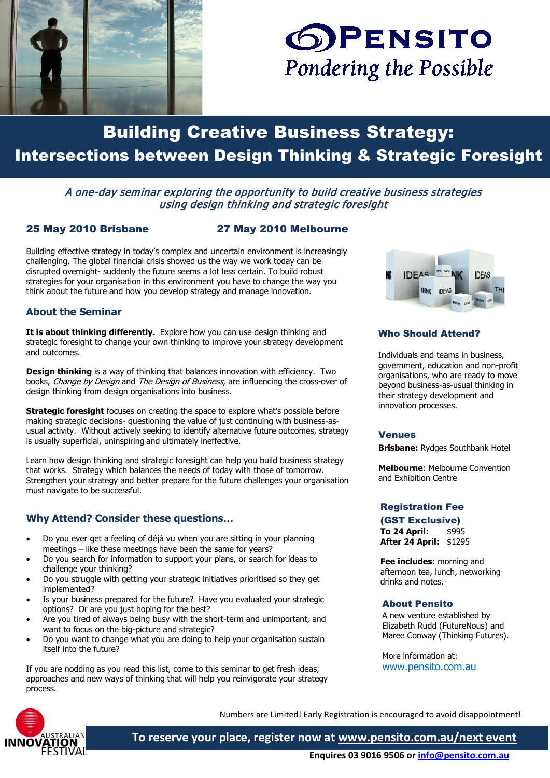



# Building Creative Business Strategy: Intersections between Design Thinking & Strategic Foresight

# A one-day seminar exploring the opportunity to build creative business strategies using design thinking and strategic foresight

#### 25 May 2010 Brisbane 27 May 2010 Melbourne

Building effective strategy in today's complex and uncertain environment is increasingly challenging. The global financial crisis showed us the way we work today can be disrupted overnight- suddenly the future seems a lot less certain. To build robust strategies for your organisation in this environment you have to change the way you think about the future and how you develop strategy and manage innovation.

# **About the Seminar**

**It is about thinking differently.** Explore how you can use design thinking and strategic foresight to change your own thinking to improve your strategy development and outcomes.

**Design thinking** is a way of thinking that balances innovation with efficiency. Two books, Change by Design and The Design of Business, are influencing the cross-over of design thinking from design organisations into business.

**Strategic foresight** focuses on creating the space to explore what's possible before making strategic decisions- questioning the value of just continuing with business-asusual activity. Without actively seeking to identify alternative future outcomes, strategy is usually superficial, uninspiring and ultimately ineffective.

Learn how design thinking and strategic foresight can help you build business strategy that works. Strategy which balances the needs of today with those of tomorrow. Strengthen your strategy and better prepare for the future challenges your organisation must navigate to be successful.

# **Why Attend? Consider these questions…**

- Do you ever get a feeling of déjà vu when you are sitting in your planning meetings – like these meetings have been the same for years?
- Do you search for information to support your plans, or search for ideas to challenge your thinking?
- Do you struggle with getting your strategic initiatives prioritised so they get implemented?
- Is your business prepared for the future? Have you evaluated your strategic options? Or are you just hoping for the best?
- Are you tired of always being busy with the short-term and unimportant, and want to focus on the big-picture and strategic?
- Do you want to change what you are doing to help your organisation sustain itself into the future?

If you are nodding as you read this list, come to this seminar to get fresh ideas, approaches and new ways of thinking that will help you reinvigorate your strategy process.



## Who Should Attend?

Individuals and teams in business, government, education and non-profit organisations, who are ready to move beyond business-as-usual thinking in their strategy development and innovation processes.

#### Venues

**Brisbane:** Rydges Southbank Hotel

**Melbourne**: Melbourne Convention and Exhibition Centre

# Registration Fee

# (GST Exclusive) **To 24 April:** \$995

**After 24 April:** \$1295

**Fee includes:** morning and afternoon tea, lunch, networking drinks and notes.

#### About Pensito

A new venture established by Elizabeth Rudd (FutureNous) and Maree Conway (Thinking Futures).

More information at: www.pensito.com.au



Numbers are Limited! Early Registration is encouraged to avoid disappointment!

**To reserve your place, register now at [www.pensito.com.au/next event](http://www.pensito.com.au/next_event) y**

 **Enquires 03 9016 9506 o[r info@pensito.com.au](mailto:info@pensito.com.au)**